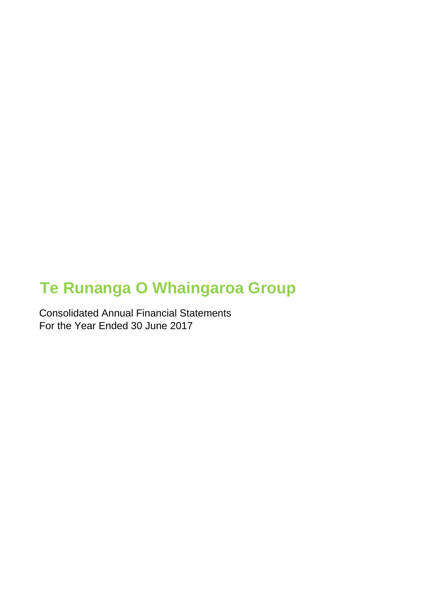# **Te Runanga O Whaingaroa Group**

Consolidated Annual Financial Statements For the Year Ended 30 June 2017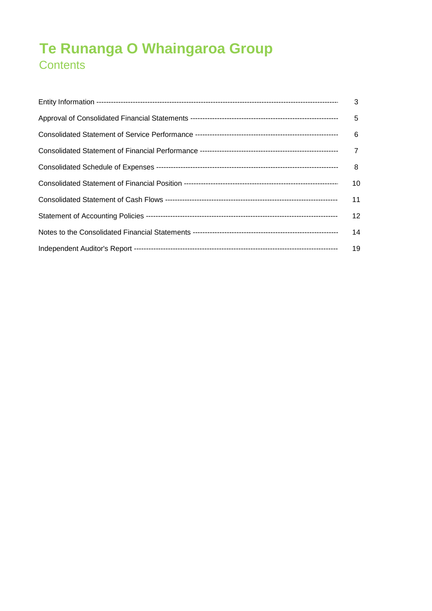# Te Runanga O Whaingaroa Group Contents

| 10 |
|----|
| 11 |
| 12 |
| 14 |
| 19 |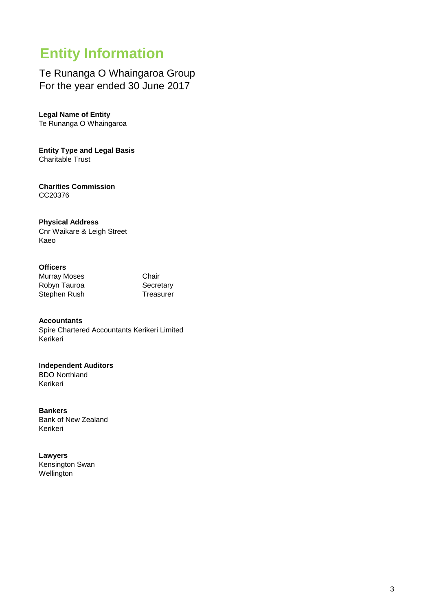# **Entity Information**

Te Runanga O Whaingaroa Group For the year ended 30 June 2017

## **Legal Name of Entity**

Te Runanga O Whaingaroa

**Entity Type and Legal Basis** Charitable Trust

## **Charities Commission**  CC20376

Cnr Waikare & Leigh Street Kaeo **Physical Address**

## **Officers**

| <b>Murray Moses</b> | Chair     |
|---------------------|-----------|
| Robyn Tauroa        | Secretary |
| Stephen Rush        | Treasurer |

Kerikeri **Accountants** Spire Chartered Accountants Kerikeri Limited

### BDO Northland Kerikeri **Independent Auditors**

Bank of New Zealand Kerikeri **Bankers**

## **Lawyers**

Kensington Swan **Wellington**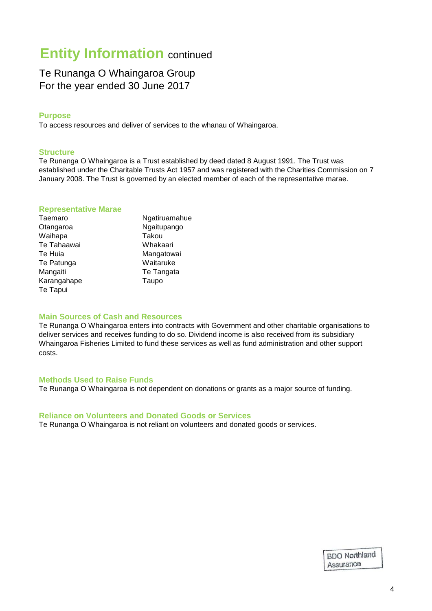# **Entity Information continued**

Te Runanga O Whaingaroa Group For the year ended 30 June 2017

## **Purpose**

To access resources and deliver of services to the whanau of Whaingaroa.

## **Structure**

Te Runanga O Whaingaroa is a Trust established by deed dated 8 August 1991. The Trust was established under the Charitable Trusts Act 1957 and was registered with the Charities Commission on 7 January 2008. The Trust is governed by an elected member of each of the representative marae.

## **Representative Marae**

| Ngatiruamahue |  |  |
|---------------|--|--|
| Ngaitupango   |  |  |
| Takou         |  |  |
| Whakaari      |  |  |
| Mangatowai    |  |  |
| Waitaruke     |  |  |
| Te Tangata    |  |  |
| Taupo         |  |  |
|               |  |  |
|               |  |  |

## **Main Sources of Cash and Resources**

Te Runanga O Whaingaroa enters into contracts with Government and other charitable organisations to deliver services and receives funding to do so. Dividend income is also received from its subsidiary Whaingaroa Fisheries Limited to fund these services as well as fund administration and other support costs.

## **Methods Used to Raise Funds**

Te Runanga O Whaingaroa is not dependent on donations or grants as a major source of funding.

## **Reliance on Volunteers and Donated Goods or Services**

Te Runanga O Whaingaroa is not reliant on volunteers and donated goods or services.

**BDO Northland** Assurance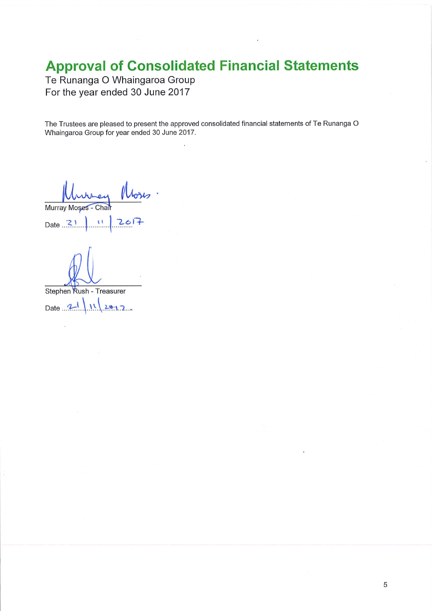# **Approval of Consolidated Financial Statements**

Te Runanga O Whaingaroa Group For the year ended 30 June 2017

The Trustees are pleased to present the approved consolidated financial statements of Te Runanga O Whaingaroa Group for year ended 30 June 2017.

Murray Moses -Chail

Date  $.2$ 

Stephen Rush - Treasurer Date  $2111222$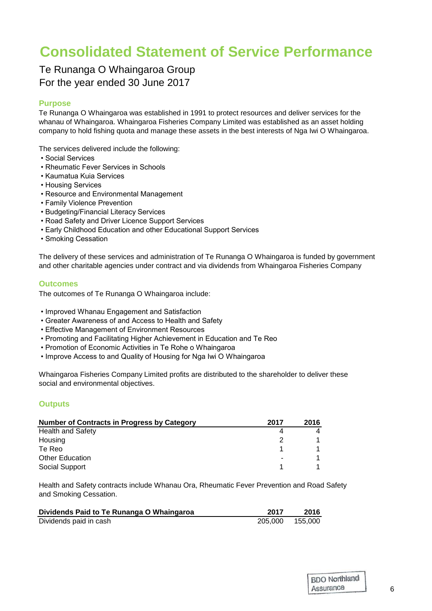# **Consolidated Statement of Service Performance**

Te Runanga O Whaingaroa Group For the year ended 30 June 2017

### **Purpose**

Te Runanga O Whaingaroa was established in 1991 to protect resources and deliver services for the whanau of Whaingaroa. Whaingaroa Fisheries Company Limited was established as an asset holding company to hold fishing quota and manage these assets in the best interests of Nga Iwi O Whaingaroa.

The services delivered include the following:

- Social Services
- Rheumatic Fever Services in Schools
- Kaumatua Kuia Services
- Housing Services
- Resource and Environmental Management
- Family Violence Prevention
- Budgeting/Financial Literacy Services
- Road Safety and Driver Licence Support Services
- Early Childhood Education and other Educational Support Services
- Smoking Cessation

The delivery of these services and administration of Te Runanga O Whaingaroa is funded by government and other charitable agencies under contract and via dividends from Whaingaroa Fisheries Company

### **Outcomes**

The outcomes of Te Runanga O Whaingaroa include:

- Improved Whanau Engagement and Satisfaction
- Greater Awareness of and Access to Health and Safety
- Effective Management of Environment Resources
- Promoting and Facilitating Higher Achievement in Education and Te Reo
- Promotion of Economic Activities in Te Rohe o Whaingaroa
- Improve Access to and Quality of Housing for Nga Iwi O Whaingaroa

Whaingaroa Fisheries Company Limited profits are distributed to the shareholder to deliver these social and environmental objectives.

## **Outputs**

| <b>Number of Contracts in Progress by Category</b> | 2017 | 2016 |
|----------------------------------------------------|------|------|
| <b>Health and Safety</b>                           |      |      |
| Housing                                            |      |      |
| Te Reo                                             |      |      |
| Other Education                                    |      |      |
| Social Support                                     |      |      |

Health and Safety contracts include Whanau Ora, Rheumatic Fever Prevention and Road Safety and Smoking Cessation.

| Dividends Paid to Te Runanga O Whaingaroa | 2017            | 2016 |
|-------------------------------------------|-----------------|------|
| Dividends paid in cash                    | 205,000 155,000 |      |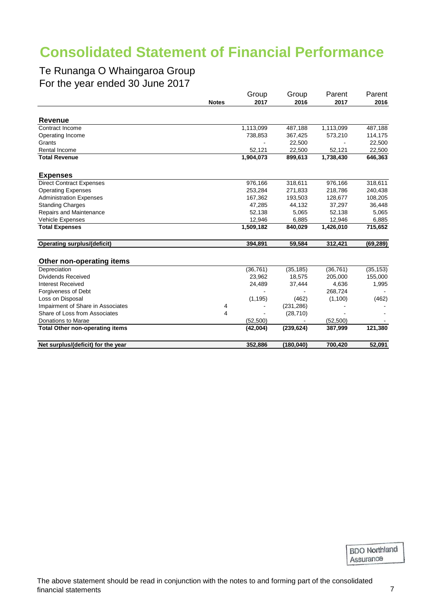# **Consolidated Statement of Financial Performance**

# Te Runanga O Whaingaroa Group For the year ended 30 June 2017

|                                        |              | Group     | Group      | Parent    | Parent    |
|----------------------------------------|--------------|-----------|------------|-----------|-----------|
|                                        | <b>Notes</b> | 2017      | 2016       | 2017      | 2016      |
|                                        |              |           |            |           |           |
| Revenue                                |              |           |            |           |           |
| Contract Income                        |              | 1,113,099 | 487,188    | 1,113,099 | 487,188   |
| Operating Income                       |              | 738,853   | 367,425    | 573,210   | 114,175   |
| Grants                                 |              |           | 22,500     |           | 22,500    |
| Rental Income                          |              | 52,121    | 22,500     | 52,121    | 22,500    |
| <b>Total Revenue</b>                   |              | 1,904,073 | 899,613    | 1,738,430 | 646,363   |
| <b>Expenses</b>                        |              |           |            |           |           |
| <b>Direct Contract Expenses</b>        |              | 976,166   | 318,611    | 976,166   | 318,611   |
| <b>Operating Expenses</b>              |              | 253,284   | 271,833    | 218,786   | 240,438   |
| <b>Administration Expenses</b>         |              | 167,362   | 193,503    | 128,677   | 108,205   |
| <b>Standing Charges</b>                |              | 47,285    | 44,132     | 37,297    | 36,448    |
| Repairs and Maintenance                |              | 52,138    | 5,065      | 52,138    | 5,065     |
| Vehicle Expenses                       |              | 12,946    | 6,885      | 12,946    | 6,885     |
| <b>Total Expenses</b>                  |              | 1,509,182 | 840,029    | 1,426,010 | 715,652   |
| Operating surplus/(deficit)            |              | 394,891   | 59,584     | 312,421   | (69, 289) |
| Other non-operating items              |              |           |            |           |           |
| Depreciation                           |              | (36, 761) | (35, 185)  | (36, 761) | (35, 153) |
| <b>Dividends Received</b>              |              | 23,962    | 18,575     | 205,000   | 155,000   |
| <b>Interest Received</b>               |              | 24,489    | 37,444     | 4,636     | 1,995     |
| Forgiveness of Debt                    |              |           |            | 268,724   |           |
| Loss on Disposal                       |              | (1, 195)  | (462)      | (1,100)   | (462)     |
| Impairment of Share in Associates      | 4            |           | (231, 286) |           |           |
| Share of Loss from Associates          | 4            |           | (28, 710)  |           |           |
| Donations to Marae                     |              | (52, 500) |            | (52, 500) |           |
| <b>Total Other non-operating items</b> |              | (42,004)  | (239, 624) | 387,999   | 121,380   |
| Net surplus/(deficit) for the year     |              | 352.886   | (180, 040) | 700.420   | 52.091    |

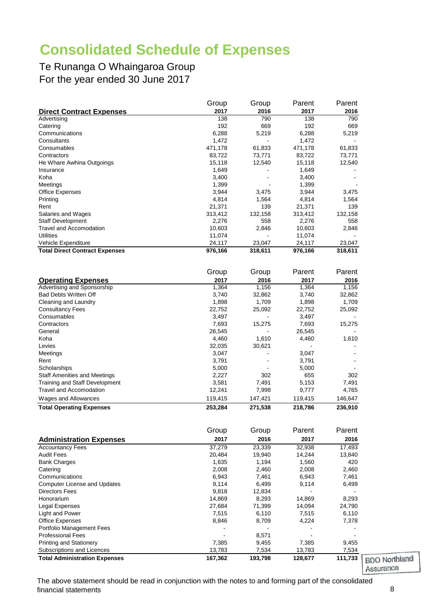# **Consolidated Schedule of Expenses**

# For the year ended 30 June 2017 Te Runanga O Whaingaroa Group

|                                       | Group   | Group   | Parent  | Parent  |
|---------------------------------------|---------|---------|---------|---------|
| <b>Direct Contract Expenses</b>       | 2017    | 2016    | 2017    | 2016    |
| Advertising                           | 138     | 790     | 138     | 790     |
| Catering                              | 192     | 669     | 192     | 669     |
| Communications                        | 6,288   | 5,219   | 6,288   | 5,219   |
| Consultants                           | 1,472   |         | 1,472   |         |
| Consumables                           | 471,178 | 61,833  | 471,178 | 61,833  |
| Contractors                           | 83,722  | 73,771  | 83,722  | 73,771  |
| He Whare Awhina Outgoings             | 15,118  | 12,540  | 15,118  | 12,540  |
| Insurance                             | 1,649   |         | 1,649   |         |
| Koha                                  | 3,400   |         | 3,400   |         |
| Meetings                              | 1,399   |         | 1,399   |         |
| Office Expenses                       | 3,944   | 3,475   | 3,944   | 3,475   |
| Printing                              | 4,814   | 1,564   | 4,814   | 1,564   |
| Rent                                  | 21,371  | 139     | 21,371  | 139     |
| Salaries and Wages                    | 313,412 | 132,158 | 313,412 | 132,158 |
| <b>Staff Development</b>              | 2,276   | 558     | 2,276   | 558     |
| <b>Travel and Accomodation</b>        | 10,603  | 2,846   | 10,603  | 2,846   |
| Utilities                             | 11,074  |         | 11,074  |         |
| Vehicle Expenditure                   | 24,117  | 23,047  | 24,117  | 23,047  |
| <b>Total Direct Contract Expenses</b> | 976,166 | 318,611 | 976,166 | 318,611 |

|                                       | Group   | Group   | Parent  | Parent  |
|---------------------------------------|---------|---------|---------|---------|
| <b>Operating Expenses</b>             | 2017    | 2016    | 2017    | 2016    |
| Advertising and Sponsorship           | 1,364   | 1,156   | 1,364   | 1,156   |
| <b>Bad Debts Written Off</b>          | 3,740   | 32,862  | 3,740   | 32,862  |
| Cleaning and Laundry                  | 1,898   | 1,709   | 1,898   | 1,709   |
| <b>Consultancy Fees</b>               | 22,752  | 25,092  | 22,752  | 25,092  |
| Consumables                           | 3,497   |         | 3,497   |         |
| Contractors                           | 7,693   | 15,275  | 7,693   | 15,275  |
| General                               | 26,545  |         | 26,545  |         |
| Koha                                  | 4,460   | 1,610   | 4,460   | 1,610   |
| Levies                                | 32,035  | 30,621  |         |         |
| Meetings                              | 3,047   |         | 3,047   |         |
| Rent                                  | 3,791   |         | 3,791   |         |
| Scholarships                          | 5,000   |         | 5,000   |         |
| <b>Staff Amenities and Meetings</b>   | 2,227   | 302     | 655     | 302     |
| <b>Training and Staff Development</b> | 3,581   | 7,491   | 5,153   | 7,491   |
| <b>Travel and Accomodation</b>        | 12,241  | 7,998   | 9,777   | 4,765   |
| Wages and Allowances                  | 119,415 | 147,421 | 119,415 | 146,647 |
| <b>Total Operating Expenses</b>       | 253,284 | 271,538 | 218,786 | 236,910 |

|                                      | Group   | Group   | Parent  | Parent  |     |
|--------------------------------------|---------|---------|---------|---------|-----|
| <b>Administration Expenses</b>       | 2017    | 2016    | 2017    | 2016    |     |
| <b>Accountancy Fees</b>              | 37,279  | 23,339  | 32,938  | 17,493  |     |
| <b>Audit Fees</b>                    | 20,484  | 19,940  | 14,244  | 13,840  |     |
| <b>Bank Charges</b>                  | 1,635   | 1,194   | 1,560   | 420     |     |
| Catering                             | 2,008   | 2,460   | 2,008   | 2,460   |     |
| Communications                       | 6,943   | 7,461   | 6,943   | 7,461   |     |
| <b>Computer License and Updates</b>  | 9,114   | 6,499   | 9,114   | 6,499   |     |
| Directors Fees                       | 9,818   | 12,834  |         |         |     |
| Honorarium                           | 14,869  | 8,293   | 14,869  | 8,293   |     |
| Legal Expenses                       | 27,684  | 71,399  | 14,094  | 24,790  |     |
| Light and Power                      | 7,515   | 6,110   | 7,515   | 6,110   |     |
| <b>Office Expenses</b>               | 8,846   | 8,709   | 4,224   | 7,378   |     |
| Portfolio Management Fees            |         |         |         |         |     |
| <b>Professional Fees</b>             |         | 8,571   |         |         |     |
| <b>Printing and Stationery</b>       | 7,385   | 9,455   | 7,385   | 9,455   |     |
| Subscriptions and Licences           | 13,783  | 7,534   | 13,783  | 7,534   |     |
| <b>Total Administration Expenses</b> | 167,362 | 193,798 | 128,677 | 111,733 | O N |

**Iorthland** Assurance

The above statement should be read in conjunction with the notes to and forming part of the consolidated financial statements 8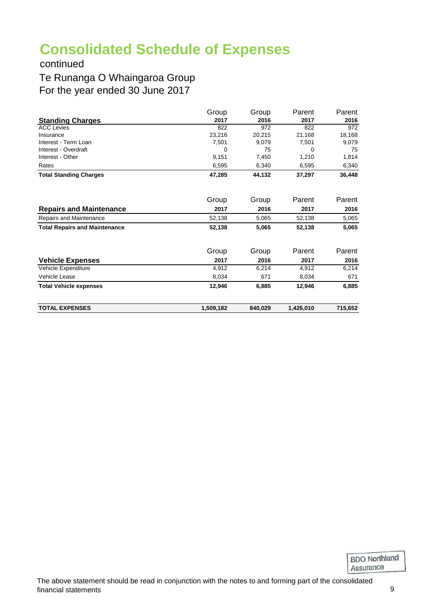# **Consolidated Schedule of Expenses**

# continued

Te Runanga O Whaingaroa Group For the year ended 30 June 2017

|                                      | Group     | Group   | Parent    | Parent  |
|--------------------------------------|-----------|---------|-----------|---------|
| <b>Standing Charges</b>              | 2017      | 2016    | 2017      | 2016    |
| <b>ACC Levies</b>                    | 822       | 972     | 822       | 972     |
| Insurance                            | 23,216    | 20,215  | 21,168    | 18,168  |
| Interest - Term Loan                 | 7,501     | 9,079   | 7,501     | 9,079   |
| Interest - Overdraft                 | $\Omega$  | 75      | $\Omega$  | 75      |
| Interest - Other                     | 9,151     | 7,450   | 1,210     | 1,814   |
| Rates                                | 6,595     | 6,340   | 6,595     | 6,340   |
| <b>Total Standing Charges</b>        | 47,285    | 44,132  | 37,297    | 36,448  |
|                                      | Group     | Group   | Parent    | Parent  |
| <b>Repairs and Maintenance</b>       | 2017      | 2016    | 2017      | 2016    |
| Repairs and Maintenance              | 52,138    | 5,065   | 52,138    | 5,065   |
| <b>Total Repairs and Maintenance</b> | 52,138    | 5,065   | 52,138    | 5,065   |
|                                      | Group     | Group   | Parent    | Parent  |
| <b>Vehicle Expenses</b>              | 2017      | 2016    | 2017      | 2016    |
| Vehicle Expenditure                  | 4,912     | 6,214   | 4,912     | 6,214   |
| Vehicle Lease                        | 8,034     | 671     | 8,034     | 671     |
| <b>Total Vehicle expenses</b>        | 12,946    | 6,885   | 12,946    | 6,885   |
| <b>TOTAL EXPENSES</b>                | 1,509,182 | 840,029 | 1.426.010 | 715,652 |

**BDO** Northland Assurance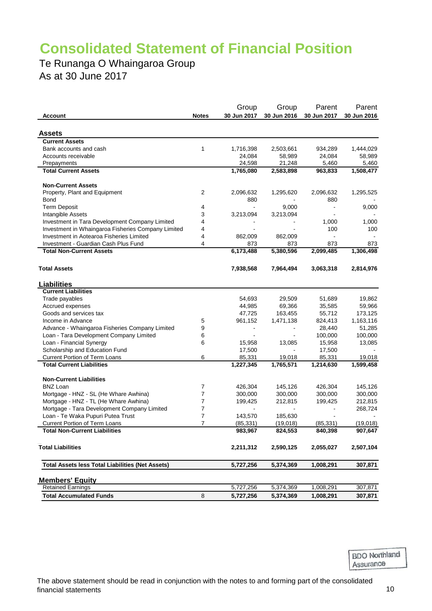# **Consolidated Statement of Financial Position**

# Te Runanga O Whaingaroa Group As at 30 June 2017

| Account                                                 | <b>Notes</b>        | Group<br>30 Jun 2017 | Group<br>30 Jun 2016 | Parent<br>30 Jun 2017 | Parent<br>30 Jun 2016 |
|---------------------------------------------------------|---------------------|----------------------|----------------------|-----------------------|-----------------------|
| <b>Assets</b>                                           |                     |                      |                      |                       |                       |
| <b>Current Assets</b>                                   |                     |                      |                      |                       |                       |
| Bank accounts and cash                                  | 1                   | 1,716,398            | 2,503,661            | 934,289               | 1,444,029             |
| Accounts receivable                                     |                     | 24,084               | 58,989               | 24,084                | 58,989                |
| Prepayments                                             |                     | 24,598               | 21,248               | 5,460                 | 5,460                 |
| <b>Total Current Assets</b>                             |                     | 1,765,080            | 2,583,898            | 963,833               | 1,508,477             |
| <b>Non-Current Assets</b>                               |                     |                      |                      |                       |                       |
| Property, Plant and Equipment                           | 2                   | 2,096,632            | 1,295,620            | 2,096,632             | 1,295,525             |
| Bond                                                    |                     | 880                  |                      | 880                   |                       |
| <b>Term Deposit</b>                                     | 4                   | $\blacksquare$       | 9,000                | $\blacksquare$        | 9,000                 |
| Intangible Assets                                       | 3                   | 3,213,094            | 3,213,094            |                       |                       |
| Investment in Tara Development Company Limited          | 4                   |                      |                      | 1,000                 | 1,000                 |
| Investment in Whaingaroa Fisheries Company Limited      | 4                   |                      |                      | 100                   | 100                   |
| Investment in Aotearoa Fisheries Limited                | 4                   | 862,009              | 862,009              |                       |                       |
| Investment - Guardian Cash Plus Fund                    | 4                   | 873                  | 873                  | 873                   | 873                   |
| <b>Total Non-Current Assets</b>                         |                     | 6,173,488            | 5,380,596            | 2,099,485             | 1,306,498             |
| <b>Total Assets</b>                                     |                     | 7,938,568            | 7,964,494            | 3,063,318             | 2,814,976             |
| <b>Liabilities</b>                                      |                     |                      |                      |                       |                       |
| <b>Current Liabilities</b>                              |                     |                      |                      |                       |                       |
| Trade payables                                          |                     | 54,693               | 29,509               | 51,689                | 19,862                |
| Accrued expenses                                        |                     | 44,985               | 69,366               | 35,585                | 59,966                |
| Goods and services tax                                  |                     | 47,725               | 163,455              | 55,712                | 173,125               |
| Income in Advance                                       | 5                   | 961,152              | 1,471,138            | 824,413               | 1,163,116             |
| Advance - Whaingaroa Fisheries Company Limited          | 9                   | $\blacksquare$       |                      | 28,440                | 51,285                |
| Loan - Tara Development Company Limited                 | 6                   |                      |                      | 100,000               | 100,000               |
| Loan - Financial Synergy                                | 6                   | 15,958               | 13,085               | 15,958                | 13,085                |
| Scholarship and Education Fund                          |                     | 17,500               |                      | 17,500                |                       |
| Current Portion of Term Loans                           | 6                   | 85,331               | 19,018               | 85,331                | 19,018                |
| <b>Total Current Liabilities</b>                        |                     | 1,227,345            | 1,765,571            | 1,214,630             | 1,599,458             |
| <b>Non-Current Liabilities</b>                          |                     |                      |                      |                       |                       |
| <b>BNZ Loan</b>                                         | 7                   | 426,304              | 145,126              | 426,304               | 145,126               |
| Mortgage - HNZ - SL (He Whare Awhina)                   | 7                   | 300,000              | 300,000              | 300,000               | 300,000               |
| Mortgage - HNZ - TL (He Whare Awhina)                   | 7                   | 199,425              | 212,815              | 199,425               | 212,815               |
| Mortgage - Tara Development Company Limited             | 7                   |                      |                      |                       | 268,724               |
| Loan - Te Waka Pupuri Putea Trust                       | 7<br>$\overline{7}$ | 143,570              | 185,630              |                       |                       |
| <b>Current Portion of Term Loans</b>                    |                     | (85, 331)            | (19,018)             | (85, 331)             | (19,018)              |
| <b>Total Non-Current Liabilities</b>                    |                     | 983,967              | 824,553              | 840,398               | 907,647               |
| <b>Total Liabilities</b>                                |                     | 2,211,312            | 2,590,125            | 2,055,027             | 2,507,104             |
| <b>Total Assets less Total Liabilities (Net Assets)</b> |                     | 5,727,256            | 5,374,369            | 1,008,291             | 307,871               |
| <b>Members' Equity</b>                                  |                     |                      |                      |                       |                       |
| <b>Retained Earnings</b>                                |                     | 5,727,256            | 5,374,369            | 1,008,291             | 307,871               |
| <b>Total Accumulated Funds</b>                          | 8                   | 5,727,256            | 5,374,369            | 1,008,291             | 307,871               |

**BDO Northland** Assurance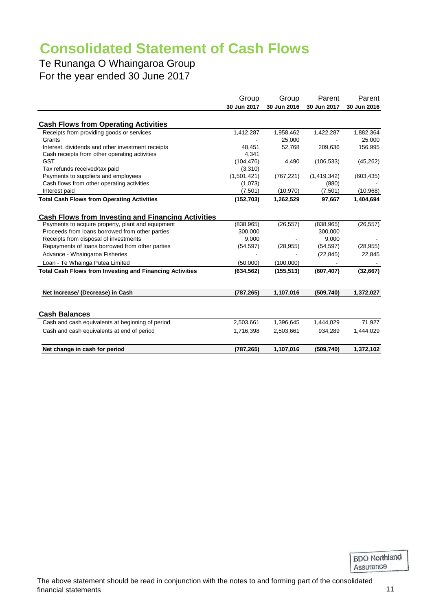# **Consolidated Statement of Cash Flows**

# Te Runanga O Whaingaroa Group For the year ended 30 June 2017

| Group<br>30 Jun 2017 | Group<br>30 Jun 2016                                                  | Parent<br>30 Jun 2017               | Parent<br>30 Jun 2016                                     |
|----------------------|-----------------------------------------------------------------------|-------------------------------------|-----------------------------------------------------------|
|                      |                                                                       |                                     |                                                           |
| 1,412,287            | 1,958,462                                                             | 1,422,287                           | 1,882,364                                                 |
|                      | 25,000                                                                |                                     | 25,000                                                    |
| 48,451               | 52,768                                                                | 209.636                             | 156,995                                                   |
| 4,341                |                                                                       |                                     |                                                           |
| (104, 476)           | 4,490                                                                 | (106, 533)                          | (45, 262)                                                 |
| (3,310)              |                                                                       |                                     |                                                           |
| (1,501,421)          | (767, 221)                                                            | (1, 419, 342)                       | (603, 435)                                                |
| (1,073)              |                                                                       | (880)                               |                                                           |
|                      | (10, 970)                                                             | (7,501)                             | (10, 968)                                                 |
| (152, 703)           | 1,262,529                                                             | 97,667                              | 1,404,694                                                 |
|                      |                                                                       |                                     |                                                           |
|                      |                                                                       |                                     | (26, 557)                                                 |
|                      |                                                                       |                                     |                                                           |
|                      |                                                                       |                                     |                                                           |
|                      |                                                                       |                                     | (28, 955)                                                 |
|                      |                                                                       | (22, 845)                           | 22,845                                                    |
| (50,000)             | (100,000)                                                             |                                     |                                                           |
| (634, 562)           | (155, 513)                                                            | (607, 407)                          | (32, 667)                                                 |
|                      |                                                                       |                                     |                                                           |
|                      |                                                                       |                                     | 1,372,027                                                 |
|                      |                                                                       |                                     |                                                           |
| 2,503,661            | 1,396,645                                                             | 1,444,029                           | 71,927                                                    |
| 1,716,398            | 2,503,661                                                             | 934,289                             | 1,444,029                                                 |
| (787, 265)           | 1,107,016                                                             | (509, 740)                          | 1,372,102                                                 |
|                      | (7, 501)<br>(838, 965)<br>300,000<br>9,000<br>(54, 597)<br>(787, 265) | (26, 557)<br>(28, 955)<br>1,107,016 | (838, 965)<br>300,000<br>9,000<br>(54, 597)<br>(509, 740) |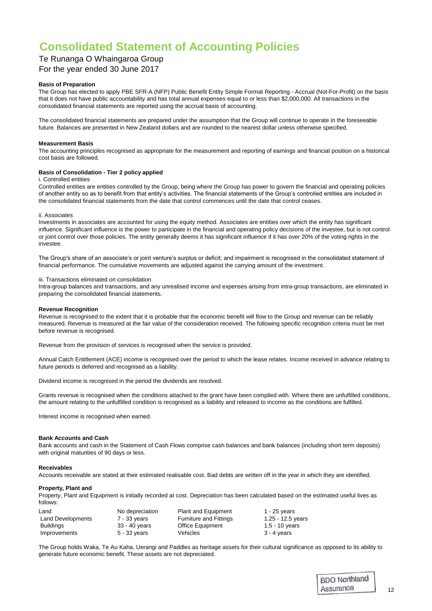# **Consolidated Statement of Accounting Policies**

## Te Runanga O Whaingaroa Group

### For the year ended 30 June 2017

### **Basis of Preparation**

The Group has elected to apply PBE SFR-A (NFP) Public Benefit Entity Simple Format Reporting - Accrual (Not-For-Profit) on the basis that it does not have public accountability and has total annual expenses equal to or less than \$2,000,000. All transactions in the consolidated financial statements are reported using the accrual basis of accounting.

The consolidated financial statements are prepared under the assumption that the Group will continue to operate in the foreseeable future. Balances are presented in New Zealand dollars and are rounded to the nearest dollar unless otherwise specified.

### **Measurement Basis**

The accounting principles recognised as appropriate for the measurement and reporting of earnings and financial position on a historical cost basis are followed.

### **Basis of Consolidation - Tier 2 policy applied**

### i. Controlled entities

Controlled entities are entities controlled by the Group, being where the Group has power to govern the financial and operating policies of another entity so as to benefit from that entity's activities. The financial statements of the Group's controlled entities are included in the consolidated financial statements from the date that control commences until the date that control ceases.

#### ii. Associates

Investments in associates are accounted for using the equity method. Associates are entities over which the entity has significant influence. Significant influence is the power to participate in the financial and operating policy decisions of the investee, but is not control or joint control over those policies. The entity generally deems it has significant influence if it has over 20% of the voting rights in the investee.

The Group's share of an associate's or joint venture's surplus or deficit; and impairment is recognised in the consolidated statement of financial performance. The cumulative movements are adjusted against the carrying amount of the investment.

iii. Transactions eliminated on consolidation

Intra-group balances and transactions, and any unrealised income and expenses arising from intra-group transactions, are eliminated in preparing the consolidated financial statements.

### **Revenue Recognition**

Revenue is recognised to the extent that it is probable that the economic benefit will flow to the Group and revenue can be reliably measured. Revenue is measured at the fair value of the consideration received. The following specific recognition criteria must be met before revenue is recognised.

Revenue from the provision of services is recognised when the service is provided.

Annual Catch Entitlement (ACE) income is recognised over the period to which the lease relates. Income received in advance relating to future periods is deferred and recognised as a liability.

Dividend income is recognised in the period the dividends are resolved.

Grants revenue is recognised when the conditions attached to the grant have been complied with. Where there are unfulfilled conditions, the amount relating to the unfulfilled condition is recognised as a liability and released to income as the conditions are fulfilled.

Interest income is recognised when earned.

### **Bank Accounts and Cash**

Bank accounts and cash in the Statement of Cash Flows comprise cash balances and bank balances (including short term deposits) with original maturities of 90 days or less.

### **Receivables**

Accounts receivable are stated at their estimated realisable cost. Bad debts are written off in the year in which they are identified.

### **Property, Plant and**

Property, Plant and Equipment is initially recorded at cost. Depreciation has been calculated based on the estimated useful lives as follows:

| Land              | No depreciation | <b>Plant and Equipment</b>    | $1 - 25$ years |
|-------------------|-----------------|-------------------------------|----------------|
| Land Developments | 7 - 33 years    | <b>Furniture and Fittings</b> | ر 12.5 - 1.25  |
| <b>Buildings</b>  | 33 - 40 years   | Office Equipment              | 1.5 - 10 yea   |
| Improvements      | $5 - 33$ years  | Vehicles                      | 3 - 4 years    |

Land Fittings 1.25 - 12.5 years ffice Equipment 1.5 - 10 years ehicles 3 - 4 years

The Group holds Waka, Te Au Kaha, Uerangi and Paddles as heritage assets for their cultural significance as opposed to its ability to generate future economic benefit. These assets are not depreciated.

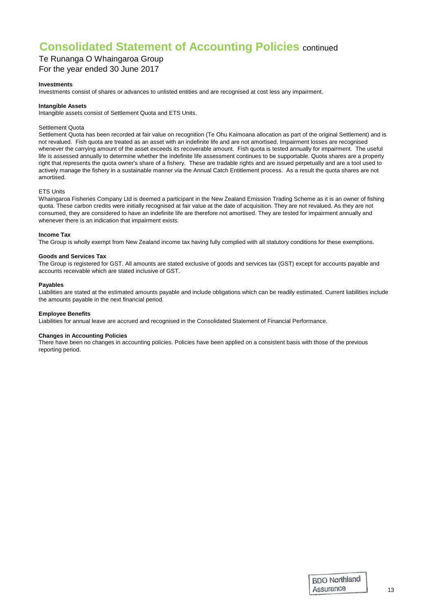# **Consolidated Statement of Accounting Policies** continued

# Te Runanga O Whaingaroa Group

For the year ended 30 June 2017

### **Investments**

Investments consist of shares or advances to unlisted entities and are recognised at cost less any impairment.

### **Intangible Assets**

Intangible assets consist of Settlement Quota and ETS Units.

### Settlement Quota

Settlement Quota has been recorded at fair value on recognition (Te Ohu Kaimoana allocation as part of the original Settlement) and is not revalued. Fish quota are treated as an asset with an indefinite life and are not amortised. Impairment losses are recognised whenever the carrying amount of the asset exceeds its recoverable amount. Fish quota is tested annually for impairment. The useful life is assessed annually to determine whether the indefinite life assessment continues to be supportable. Quota shares are a property right that represents the quota owner's share of a fishery. These are tradable rights and are issued perpetually and are a tool used to actively manage the fishery in a sustainable manner via the Annual Catch Entitlement process. As a result the quota shares are not amortised.

### ETS Units

Whaingaroa Fisheries Company Ltd is deemed a participant in the New Zealand Emission Trading Scheme as it is an owner of fishing quota. These carbon credits were initially recognised at fair value at the date of acquisition. They are not revalued. As they are not consumed, they are considered to have an indefinite life are therefore not amortised. They are tested for impairment annually and whenever there is an indication that impairment exists.

### **Income Tax**

The Group is wholly exempt from New Zealand income tax having fully complied with all statutory conditions for these exemptions.

### **Goods and Services Tax**

The Group is registered for GST. All amounts are stated exclusive of goods and services tax (GST) except for accounts payable and accounts receivable which are stated inclusive of GST.

### **Payables**

Liabilities are stated at the estimated amounts payable and include obligations which can be readily estimated. Current liabilities include the amounts payable in the next financial period.

### **Employee Benefits**

Liabilities for annual leave are accrued and recognised in the Consolidated Statement of Financial Performance.

### **Changes in Accounting Policies**

There have been no changes in accounting policies. Policies have been applied on a consistent basis with those of the previous reporting period.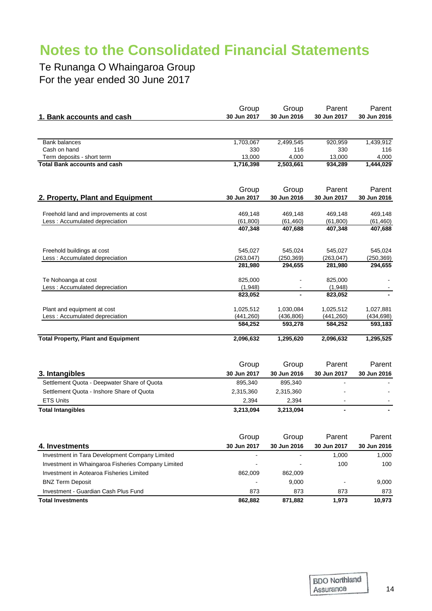Te Runanga O Whaingaroa Group For the year ended 30 June 2017

|                                                    | Group       | Group          | Parent                   | Parent      |
|----------------------------------------------------|-------------|----------------|--------------------------|-------------|
| 1. Bank accounts and cash                          | 30 Jun 2017 | 30 Jun 2016    | 30 Jun 2017              | 30 Jun 2016 |
|                                                    |             |                |                          |             |
| <b>Bank balances</b>                               | 1,703,067   | 2,499,545      | 920,959                  | 1,439,912   |
| Cash on hand                                       | 330         | 116            | 330                      | 116         |
| Term deposits - short term                         | 13,000      | 4,000          | 13,000                   | 4,000       |
| <b>Total Bank accounts and cash</b>                | 1,716,398   | 2,503,661      | 934,289                  | 1,444,029   |
|                                                    | Group       | Group          | Parent                   | Parent      |
| 2. Property, Plant and Equipment                   | 30 Jun 2017 | 30 Jun 2016    | 30 Jun 2017              | 30 Jun 2016 |
|                                                    |             |                |                          |             |
| Freehold land and improvements at cost             | 469,148     | 469,148        | 469,148                  | 469,148     |
| Less: Accumulated depreciation                     | (61, 800)   | (61, 460)      | (61, 800)                | (61, 460)   |
|                                                    | 407,348     | 407,688        | 407,348                  | 407,688     |
| Freehold buildings at cost                         | 545,027     | 545,024        | 545,027                  | 545,024     |
| Less: Accumulated depreciation                     | (263, 047)  | (250, 369)     | (263, 047)               | (250, 369)  |
|                                                    | 281,980     | 294,655        | 281,980                  | 294,655     |
| Te Nohoanga at cost                                | 825,000     | $\blacksquare$ | 825.000                  |             |
| Less: Accumulated depreciation                     | (1,948)     |                | (1,948)                  |             |
|                                                    | 823,052     |                | 823,052                  |             |
| Plant and equipment at cost                        | 1,025,512   | 1,030,084      | 1,025,512                | 1,027,881   |
| Less: Accumulated depreciation                     | (441, 260)  | (436, 806)     | (441, 260)               | (434, 698)  |
|                                                    | 584,252     | 593,278        | 584,252                  | 593,183     |
| <b>Total Property, Plant and Equipment</b>         | 2,096,632   | 1,295,620      | 2,096,632                | 1,295,525   |
|                                                    | Group       | Group          | Parent                   | Parent      |
| 3. Intangibles                                     | 30 Jun 2017 | 30 Jun 2016    | 30 Jun 2017              | 30 Jun 2016 |
| Settlement Quota - Deepwater Share of Quota        | 895,340     | 895,340        | $\overline{a}$           |             |
| Settlement Quota - Inshore Share of Quota          | 2,315,360   | 2,315,360      |                          |             |
| <b>ETS Units</b>                                   | 2,394       | 2,394          |                          |             |
| <b>Total Intangibles</b>                           | 3,213,094   | 3,213,094      | $\overline{\phantom{a}}$ |             |
|                                                    |             |                |                          |             |
|                                                    | Group       | Group          | Parent                   | Parent      |
| 4. Investments                                     | 30 Jun 2017 | 30 Jun 2016    | 30 Jun 2017              | 30 Jun 2016 |
| Investment in Tara Development Company Limited     |             |                | 1,000                    | 1,000       |
| Investment in Whaingaroa Fisheries Company Limited |             | $\blacksquare$ | 100                      | 100         |
| Investment in Aotearoa Fisheries Limited           | 862,009     | 862,009        |                          |             |
| <b>BNZ Term Deposit</b>                            |             | 9,000          |                          | 9,000       |
| Investment - Guardian Cash Plus Fund               | 873         | 873            | 873                      | 873         |
| <b>Total Investments</b>                           | 862,882     | 871,882        | 1,973                    | 10,973      |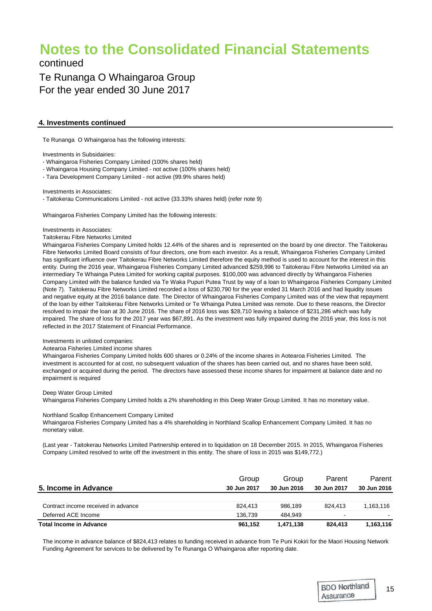continued

Te Runanga O Whaingaroa Group For the year ended 30 June 2017

### **4. Investments continued**

Te Runanga O Whaingaroa has the following interests:

Investments in Subsidairies:

- Whaingaroa Fisheries Company Limited (100% shares held)

- Whaingaroa Housing Company Limited not active (100% shares held)
- Tara Development Company Limited not active (99.9% shares held)

Investments in Associates:

- Taitokerau Communications Limited - not active (33.33% shares held) (refer note 9)

Whaingaroa Fisheries Company Limited has the following interests:

### Investments in Associates:

Taitokerau Fibre Networks Limited

Whaingaroa Fisheries Company Limited holds 12.44% of the shares and is represented on the board by one director. The Taitokerau Fibre Networks Limited Board consists of four directors, one from each investor. As a result, Whaingaroa Fisheries Company Limited has significant influence over Taitokerau Fibre Networks Limited therefore the equity method is used to account for the interest in this entity. During the 2016 year, Whaingaroa Fisheries Company Limited advanced \$259,996 to Taitokerau Fibre Networks Limited via an intermediary Te Whainga Putea Limited for working capital purposes. \$100,000 was advanced directly by Whaingaroa Fisheries Company Limited with the balance funded via Te Waka Pupuri Putea Trust by way of a loan to Whaingaroa Fisheries Company Limited (Note 7). Taitokerau Fibre Networks Limited recorded a loss of \$230,790 for the year ended 31 March 2016 and had liquidity issues and negative equity at the 2016 balance date. The Director of Whaingaroa Fisheries Company Limited was of the view that repayment of the loan by either Taitokerau Fibre Networks Limited or Te Whainga Putea Limited was remote. Due to these reasons, the Director resolved to impair the loan at 30 June 2016. The share of 2016 loss was \$28,710 leaving a balance of \$231,286 which was fully impaired. The share of loss for the 2017 year was \$67,891. As the investment was fully impaired during the 2016 year, this loss is not reflected in the 2017 Statement of Financial Performance.

### Investments in unlisted companies:

Aotearoa Fisheries Limited income shares

Whaingaroa Fisheries Company Limited holds 600 shares or 0.24% of the income shares in Aotearoa Fisheries Limited. The investment is accounted for at cost, no subsequent valuation of the shares has been carried out, and no shares have been sold, exchanged or acquired during the period. The directors have assessed these income shares for impairment at balance date and no impairment is required

### Deep Water Group Limited

Whaingaroa Fisheries Company Limited holds a 2% shareholding in this Deep Water Group Limited. It has no monetary value.

### Northland Scallop Enhancement Company Limited

Whaingaroa Fisheries Company Limited has a 4% shareholding in Northland Scallop Enhancement Company Limited. It has no monetary value.

(Last year - Taitokerau Networks Limited Partnership entered in to liquidation on 18 December 2015. In 2015, Whaingaroa Fisheries Company Limited resolved to write off the investment in this entity. The share of loss in 2015 was \$149,772.)

|                                     | Group       | Group       | Parent<br>30 Jun 2017 | Parent<br>30 Jun 2016 |
|-------------------------------------|-------------|-------------|-----------------------|-----------------------|
| 5. Income in Advance                | 30 Jun 2017 | 30 Jun 2016 |                       |                       |
|                                     |             |             |                       |                       |
| Contract income received in advance | 824.413     | 986.189     | 824.413               | 1,163,116             |
| Deferred ACE Income                 | 136.739     | 484.949     | $\blacksquare$        |                       |
| <b>Total Income in Advance</b>      | 961,152     | 1,471,138   | 824.413               | 1,163,116             |

The income in advance balance of \$824,413 relates to funding received in advance from Te Puni Kokiri for the Maori Housing Network Funding Agreement for services to be delivered by Te Runanga O Whaingaroa after reporting date.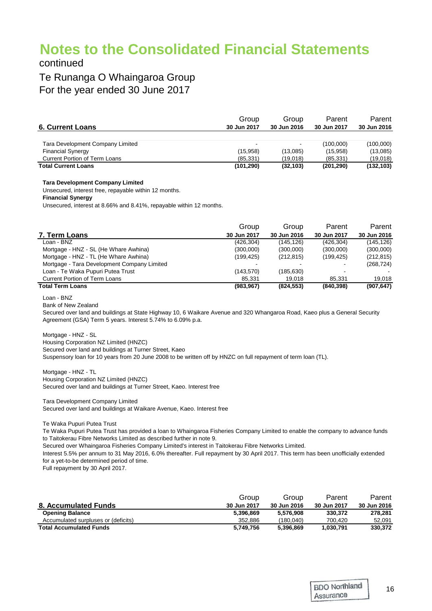## continued

Te Runanga O Whaingaroa Group For the year ended 30 June 2017

| <b>6. Current Loans</b>              | Group<br>30 Jun 2017 | Group<br>30 Jun 2016 | Parent<br>30 Jun 2017 | Parent<br>30 Jun 2016 |
|--------------------------------------|----------------------|----------------------|-----------------------|-----------------------|
|                                      |                      |                      |                       |                       |
| Tara Development Company Limited     |                      | ۰                    | (100.000)             | (100,000)             |
| <b>Financial Synergy</b>             | (15,958)             | (13,085)             | (15.958)              | (13,085)              |
| <b>Current Portion of Term Loans</b> | (85, 331)            | (19,018)             | (85, 331)             | (19,018)              |
| <b>Total Current Loans</b>           | (101,290)            | (32, 103)            | (201, 290)            | (132, 103)            |

**Tara Development Company Limited**

Unsecured, interest free, repayable within 12 months.

**Financial Synergy**

Unsecured, interest at 8.66% and 8.41%, repayable within 12 months.

|                                             | Group       | Group       | Parent         | Parent      |
|---------------------------------------------|-------------|-------------|----------------|-------------|
| 7. Term Loans                               | 30 Jun 2017 | 30 Jun 2016 | 30 Jun 2017    | 30 Jun 2016 |
| Loan - BNZ                                  | (426, 304)  | (145.126)   | (426, 304)     | (145, 126)  |
| Mortgage - HNZ - SL (He Whare Awhina)       | (300,000)   | (300,000)   | (300,000)      | (300,000)   |
| Mortgage - HNZ - TL (He Whare Awhina)       | (199, 425)  | (212, 815)  | (199, 425)     | (212, 815)  |
| Mortgage - Tara Development Company Limited |             |             | ۰              | (268, 724)  |
| Loan - Te Waka Pupuri Putea Trust           | (143,570)   | (185, 630)  | $\blacksquare$ |             |
| <b>Current Portion of Term Loans</b>        | 85.331      | 19.018      | 85.331         | 19,018      |
| <b>Total Term Loans</b>                     | (983.967)   | (824.553)   | (840.398)      | (907, 647)  |

Loan - BNZ

Bank of New Zealand

Secured over land and buildings at State Highway 10, 6 Waikare Avenue and 320 Whangaroa Road, Kaeo plus a General Security Agreement (GSA) Term 5 years. Interest 5.74% to 6.09% p.a.

Mortgage - HNZ - SL Housing Corporation NZ Limited (HNZC) Secured over land and buildings at Turner Street, Kaeo Suspensory loan for 10 years from 20 June 2008 to be written off by HNZC on full repayment of term loan (TL).

Mortgage - HNZ - TL Housing Corporation NZ Limited (HNZC) Secured over land and buildings at Turner Street, Kaeo. Interest free

Tara Development Company Limited Secured over land and buildings at Waikare Avenue, Kaeo. Interest free

Te Waka Pupuri Putea Trust

Te Waka Pupuri Putea Trust has provided a loan to Whaingaroa Fisheries Company Limited to enable the company to advance funds to Taitokerau Fibre Networks Limited as described further in note 9.

Secured over Whaingaroa Fisheries Company Limited's interest in Taitokerau Fibre Networks Limited.

Interest 5.5% per annum to 31 May 2016, 6.0% thereafter. Full repayment by 30 April 2017. This term has been unofficially extended for a yet-to-be determined period of time.

Full repayment by 30 April 2017.

|                                     | Group       | Group       | Parent      | Parent      |
|-------------------------------------|-------------|-------------|-------------|-------------|
| 8. Accumulated Funds                | 30 Jun 2017 | 30 Jun 2016 | 30 Jun 2017 | 30 Jun 2016 |
| <b>Opening Balance</b>              | 5.396.869   | 5.576.908   | 330.372     | 278.281     |
| Accumulated surpluses or (deficits) | 352.886     | (180.040)   | 700.420     | 52.091      |
| <b>Total Accumulated Funds</b>      | 5.749.756   | 5,396,869   | 1.030.791   | 330.372     |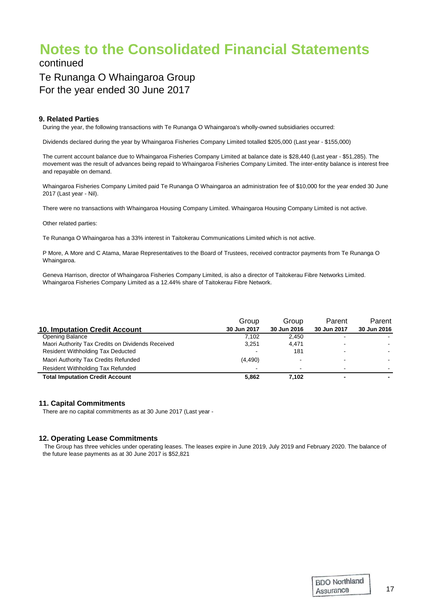## continued

Te Runanga O Whaingaroa Group For the year ended 30 June 2017

### **9. Related Parties**

During the year, the following transactions with Te Runanga O Whaingaroa's wholly-owned subsidiaries occurred:

Dividends declared during the year by Whaingaroa Fisheries Company Limited totalled \$205,000 (Last year - \$155,000)

The current account balance due to Whaingaroa Fisheries Company Limited at balance date is \$28,440 (Last year - \$51,285). The movement was the result of advances being repaid to Whaingaroa Fisheries Company Limited. The inter-entity balance is interest free and repayable on demand.

Whaingaroa Fisheries Company Limited paid Te Runanga O Whaingaroa an administration fee of \$10,000 for the year ended 30 June 2017 (Last year - Nil).

There were no transactions with Whaingaroa Housing Company Limited. Whaingaroa Housing Company Limited is not active.

Other related parties:

Te Runanga O Whaingaroa has a 33% interest in Taitokerau Communications Limited which is not active.

P More, A More and C Atama, Marae Representatives to the Board of Trustees, received contractor payments from Te Runanga O Whaingaroa.

Geneva Harrison, director of Whaingaroa Fisheries Company Limited, is also a director of Taitokerau Fibre Networks Limited. Whaingaroa Fisheries Company Limited as a 12.44% share of Taitokerau Fibre Network.

|                                                   | Group       | Group       | Parent      | Parent      |
|---------------------------------------------------|-------------|-------------|-------------|-------------|
| <b>10. Imputation Credit Account</b>              | 30 Jun 2017 | 30 Jun 2016 | 30 Jun 2017 | 30 Jun 2016 |
| Opening Balance                                   | 7,102       | 2.450       | ٠           |             |
| Maori Authority Tax Credits on Dividends Received | 3.251       | 4.471       | -           |             |
| <b>Resident Withholding Tax Deducted</b>          |             | 181         | -           |             |
| Maori Authority Tax Credits Refunded              | (4, 490)    | -           |             |             |
| Resident Withholding Tax Refunded                 |             |             |             |             |
| <b>Total Imputation Credit Account</b>            | 5,862       | 7.102       |             |             |

### **11. Capital Commitments**

There are no capital commitments as at 30 June 2017 (Last year -

## **12. Operating Lease Commitments**

 The Group has three vehicles under operating leases. The leases expire in June 2019, July 2019 and February 2020. The balance of the future lease payments as at 30 June 2017 is \$52,821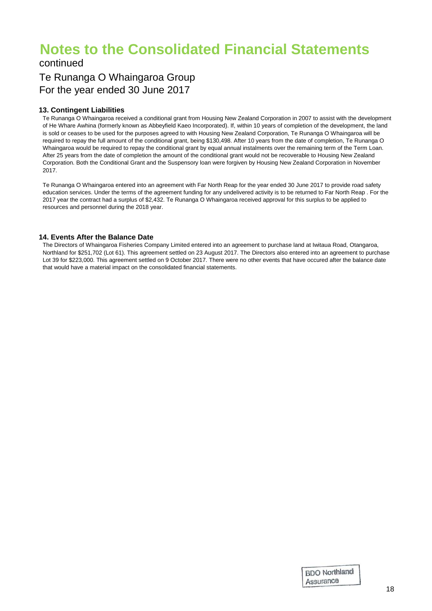## continued

Te Runanga O Whaingaroa Group For the year ended 30 June 2017

## **13. Contingent Liabilities**

Te Runanga O Whaingaroa received a conditional grant from Housing New Zealand Corporation in 2007 to assist with the development of He Whare Awhina (formerly known as Abbeyfield Kaeo Incorporated). If, within 10 years of completion of the development, the land is sold or ceases to be used for the purposes agreed to with Housing New Zealand Corporation, Te Runanga O Whaingaroa will be required to repay the full amount of the conditional grant, being \$130,498. After 10 years from the date of completion, Te Runanga O Whaingaroa would be required to repay the conditional grant by equal annual instalments over the remaining term of the Term Loan. After 25 years from the date of completion the amount of the conditional grant would not be recoverable to Housing New Zealand Corporation. Both the Conditional Grant and the Suspensory loan were forgiven by Housing New Zealand Corporation in November 2017.

Te Runanga O Whaingaroa entered into an agreement with Far North Reap for the year ended 30 June 2017 to provide road safety education services. Under the terms of the agreement funding for any undelivered activity is to be returned to Far North Reap . For the 2017 year the contract had a surplus of \$2,432. Te Runanga O Whaingaroa received approval for this surplus to be applied to resources and personnel during the 2018 year.

## **14. Events After the Balance Date**

The Directors of Whaingaroa Fisheries Company Limited entered into an agreement to purchase land at Iwitaua Road, Otangaroa, Northland for \$251,702 (Lot 61). This agreement settled on 23 August 2017. The Directors also entered into an agreement to purchase Lot 39 for \$223,000. This agreement settled on 9 October 2017. There were no other events that have occured after the balance date that would have a material impact on the consolidated financial statements.

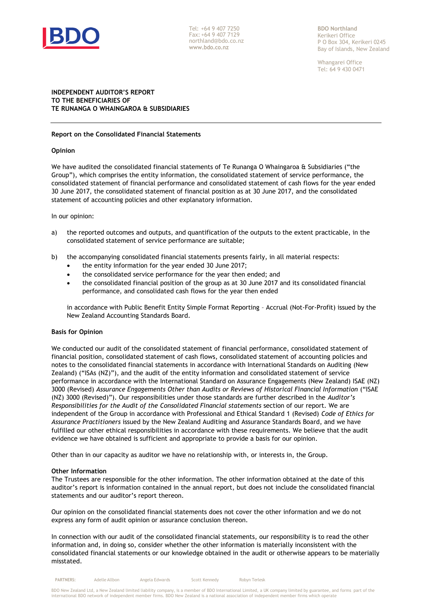

Tel: +64 9 407 7250 Fax: +64 9 407 7129 [northland@bdo.co.nz](mailto:northland@bdo.co.nz) **[www.bdo.co.nz](http://www.bdo.co.nz/)**

**BDO Northland**  Kerikeri Office P O Box 304, Kerikeri 0245 Bay of Islands, New Zealand

Whangarei Office Tel: 64 9 430 0471

### **INDEPENDENT AUDITOR'S REPORT TO THE BENEFICIARIES OF TE RUNANGA O WHAINGAROA & SUBSIDIARIES**

### **Report on the Consolidated Financial Statements**

### **Opinion**

We have audited the consolidated financial statements of Te Runanga O Whaingaroa & Subsidiaries ("the Group"), which comprises the entity information, the consolidated statement of service performance, the consolidated statement of financial performance and consolidated statement of cash flows for the year ended 30 June 2017, the consolidated statement of financial position as at 30 June 2017, and the consolidated statement of accounting policies and other explanatory information.

### In our opinion:

- a) the reported outcomes and outputs, and quantification of the outputs to the extent practicable, in the consolidated statement of service performance are suitable;
- b) the accompanying consolidated financial statements presents fairly, in all material respects:
	- the entity information for the year ended 30 June 2017;
	- the consolidated service performance for the year then ended; and
	- the consolidated financial position of the group as at 30 June 2017 and its consolidated financial performance, and consolidated cash flows for the year then ended

in accordance with Public Benefit Entity Simple Format Reporting – Accrual (Not-For-Profit) issued by the New Zealand Accounting Standards Board.

### **Basis for Opinion**

We conducted our audit of the consolidated statement of financial performance, consolidated statement of financial position, consolidated statement of cash flows, consolidated statement of accounting policies and notes to the consolidated financial statements in accordance with International Standards on Auditing (New Zealand) ("ISAs (NZ)"), and the audit of the entity information and consolidated statement of service performance in accordance with the International Standard on Assurance Engagements (New Zealand) ISAE (NZ) 3000 (Revised) *Assurance Engagements Other than Audits or Reviews of Historical Financial Information* ("ISAE (NZ) 3000 (Revised)"). Our responsibilities under those standards are further described in the *Auditor's Responsibilities for the Audit of the Consolidated Financial statements* section of our report. We are independent of the Group in accordance with Professional and Ethical Standard 1 (Revised) *Code of Ethics for Assurance Practitioners* issued by the New Zealand Auditing and Assurance Standards Board, and we have fulfilled our other ethical responsibilities in accordance with these requirements. We believe that the audit evidence we have obtained is sufficient and appropriate to provide a basis for our opinion.

Other than in our capacity as auditor we have no relationship with, or interests in, the Group.

### **Other Information**

The Trustees are responsible for the other information. The other information obtained at the date of this auditor's report is information contained in the annual report, but does not include the consolidated financial statements and our auditor's report thereon.

Our opinion on the consolidated financial statements does not cover the other information and we do not express any form of audit opinion or assurance conclusion thereon.

In connection with our audit of the consolidated financial statements, our responsibility is to read the other information and, in doing so, consider whether the other information is materially inconsistent with the consolidated financial statements or our knowledge obtained in the audit or otherwise appears to be materially misstated.

| <b>PARTNERS:</b> | Adelle Allbon | Angela Edwards | Scott Kennedy | Robyn Terlesk |
|------------------|---------------|----------------|---------------|---------------|
|------------------|---------------|----------------|---------------|---------------|

BDO New Zealand Ltd, a New Zealand limited liability company, is a member of BDO International Limited, a UK company limited by guarantee, and forms part of the international BDO network of independent member firms. BDO New Zealand is a national association of independent member firms which operate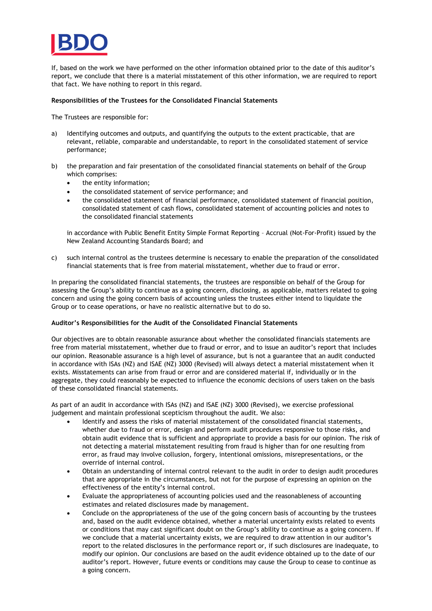

If, based on the work we have performed on the other information obtained prior to the date of this auditor's report, we conclude that there is a material misstatement of this other information, we are required to report that fact. We have nothing to report in this regard.

### **Responsibilities of the Trustees for the Consolidated Financial Statements**

The Trustees are responsible for:

- a) Identifying outcomes and outputs, and quantifying the outputs to the extent practicable, that are relevant, reliable, comparable and understandable, to report in the consolidated statement of service performance;
- b) the preparation and fair presentation of the consolidated financial statements on behalf of the Group which comprises:
	- the entity information;
	- the consolidated statement of service performance; and
	- the consolidated statement of financial performance, consolidated statement of financial position, consolidated statement of cash flows, consolidated statement of accounting policies and notes to the consolidated financial statements

in accordance with Public Benefit Entity Simple Format Reporting – Accrual (Not-For-Profit) issued by the New Zealand Accounting Standards Board; and

c) such internal control as the trustees determine is necessary to enable the preparation of the consolidated financial statements that is free from material misstatement, whether due to fraud or error.

In preparing the consolidated financial statements, the trustees are responsible on behalf of the Group for assessing the Group's ability to continue as a going concern, disclosing, as applicable, matters related to going concern and using the going concern basis of accounting unless the trustees either intend to liquidate the Group or to cease operations, or have no realistic alternative but to do so.

### **Auditor's Responsibilities for the Audit of the Consolidated Financial Statements**

Our objectives are to obtain reasonable assurance about whether the consolidated financials statements are free from material misstatement, whether due to fraud or error, and to issue an auditor's report that includes our opinion. Reasonable assurance is a high level of assurance, but is not a guarantee that an audit conducted in accordance with ISAs (NZ) and ISAE (NZ) 3000 (Revised) will always detect a material misstatement when it exists. Misstatements can arise from fraud or error and are considered material if, individually or in the aggregate, they could reasonably be expected to influence the economic decisions of users taken on the basis of these consolidated financial statements.

As part of an audit in accordance with ISAs (NZ) and ISAE (NZ) 3000 (Revised), we exercise professional judgement and maintain professional scepticism throughout the audit. We also:

- Identify and assess the risks of material misstatement of the consolidated financial statements, whether due to fraud or error, design and perform audit procedures responsive to those risks, and obtain audit evidence that is sufficient and appropriate to provide a basis for our opinion. The risk of not detecting a material misstatement resulting from fraud is higher than for one resulting from error, as fraud may involve collusion, forgery, intentional omissions, misrepresentations, or the override of internal control.
- Obtain an understanding of internal control relevant to the audit in order to design audit procedures that are appropriate in the circumstances, but not for the purpose of expressing an opinion on the effectiveness of the entity's internal control.
- Evaluate the appropriateness of accounting policies used and the reasonableness of accounting estimates and related disclosures made by management.
- Conclude on the appropriateness of the use of the going concern basis of accounting by the trustees and, based on the audit evidence obtained, whether a material uncertainty exists related to events or conditions that may cast significant doubt on the Group's ability to continue as a going concern. If we conclude that a material uncertainty exists, we are required to draw attention in our auditor's report to the related disclosures in the performance report or, if such disclosures are inadequate, to modify our opinion. Our conclusions are based on the audit evidence obtained up to the date of our auditor's report. However, future events or conditions may cause the Group to cease to continue as a going concern.